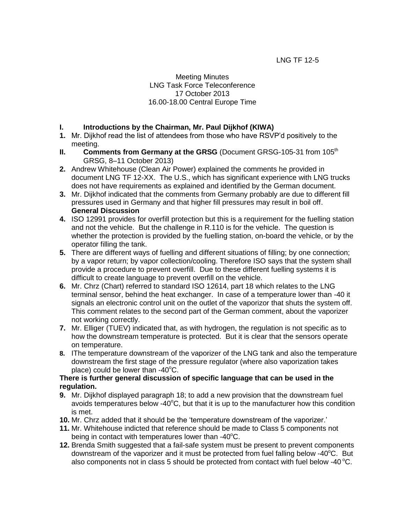## Meeting Minutes LNG Task Force Teleconference 17 October 2013 16.00-18.00 Central Europe Time

## **I. Introductions by the Chairman, Mr. Paul Dijkhof (KIWA)**

- **1.** Mr. Dijkhof read the list of attendees from those who have RSVP'd positively to the meeting.
- **II. Comments from Germany at the GRSG** (Document GRSG-105-31 from 105<sup>th</sup> GRSG, 8–11 October 2013)
- **2.** Andrew Whitehouse (Clean Air Power) explained the comments he provided in document LNG TF 12-XX. The U.S., which has significant experience with LNG trucks does not have requirements as explained and identified by the German document.
- **3.** Mr. Dijkhof indicated that the comments from Germany probably are due to different fill pressures used in Germany and that higher fill pressures may result in boil off. **General Discussion**
- **4.** ISO 12991 provides for overfill protection but this is a requirement for the fuelling station and not the vehicle. But the challenge in R.110 is for the vehicle. The question is whether the protection is provided by the fuelling station, on-board the vehicle, or by the operator filling the tank.
- **5.** There are different ways of fuelling and different situations of filling; by one connection; by a vapor return; by vapor collection/cooling. Therefore ISO says that the system shall provide a procedure to prevent overfill. Due to these different fuelling systems it is difficult to create language to prevent overfill on the vehicle.
- **6.** Mr. Chrz (Chart) referred to standard ISO 12614, part 18 which relates to the LNG terminal sensor, behind the heat exchanger. In case of a temperature lower than -40 it signals an electronic control unit on the outlet of the vaporizor that shuts the system off. This comment relates to the second part of the German comment, about the vaporizer not working correctly.
- **7.** Mr. Elliger (TUEV) indicated that, as with hydrogen, the regulation is not specific as to how the downstream temperature is protected. But it is clear that the sensors operate on temperature.
- **8.** IThe temperature downstream of the vaporizer of the LNG tank and also the temperature downstream the first stage of the pressure regulator (where also vaporization takes place) could be lower than  $-40^{\circ}$ C.

#### **There is further general discussion of specific language that can be used in the regulation.**

- **9.** Mr. Dijkhof displayed paragraph 18; to add a new provision that the downstream fuel avoids temperatures below  $-40^{\circ}$ C, but that it is up to the manufacturer how this condition is met.
- **10.** Mr. Chrz added that it should be the 'temperature downstream of the vaporizer.'
- **11.** Mr. Whitehouse indicted that reference should be made to Class 5 components not being in contact with temperatures lower than  $-40^{\circ}$ C.
- **12.** Brenda Smith suggested that a fail-safe system must be present to prevent components downstream of the vaporizer and it must be protected from fuel falling below  $-40^{\circ}$ C. But also components not in class 5 should be protected from contact with fuel below -40 $^{\circ}$ C.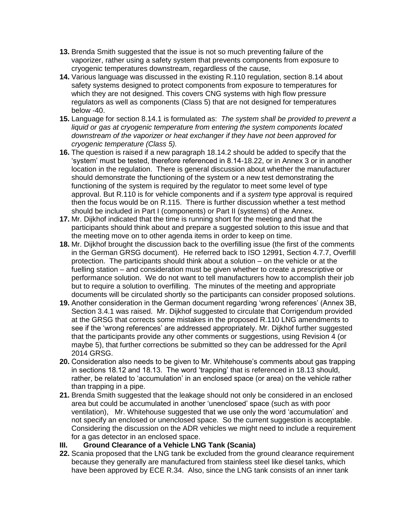- **13.** Brenda Smith suggested that the issue is not so much preventing failure of the vaporizer, rather using a safety system that prevents components from exposure to cryogenic temperatures downstream, regardless of the cause,
- **14.** Various language was discussed in the existing R.110 regulation, section 8.14 about safety systems designed to protect components from exposure to temperatures for which they are not designed. This covers CNG systems with high flow pressure regulators as well as components (Class 5) that are not designed for temperatures below -40.
- **15.** Language for section 8.14.1 is formulated as: *The system shall be provided to prevent a liquid or gas at cryogenic temperature from entering the system components located downstream of the vaporizer or heat exchanger if they have not been approved for cryogenic temperature (Class 5).*
- **16.** The question is raised if a new paragraph 18.14.2 should be added to specify that the 'system' must be tested, therefore referenced in 8.14-18.22, or in Annex 3 or in another location in the regulation. There is general discussion about whether the manufacturer should demonstrate the functioning of the system or a new test demonstrating the functioning of the system is required by the regulator to meet some level of type approval. But R.110 is for vehicle components and if a *system* type approval is required then the focus would be on R.115. There is further discussion whether a test method should be included in Part I (components) or Part II (systems) of the Annex.
- **17.** Mr. Dijkhof indicated that the time is running short for the meeting and that the participants should think about and prepare a suggested solution to this issue and that the meeting move on to other agenda items in order to keep on time.
- **18.** Mr. Dijkhof brought the discussion back to the overfilling issue (the first of the comments in the German GRSG document). He referred back to ISO 12991, Section 4.7.7, Overfill protection. The participants should think about a solution – on the vehicle or at the fuelling station – and consideration must be given whether to create a prescriptive or performance solution. We do not want to tell manufacturers how to accomplish their job but to require a solution to overfilling. The minutes of the meeting and appropriate documents will be circulated shortly so the participants can consider proposed solutions.
- **19.** Another consideration in the German document regarding 'wrong references' (Annex 3B, Section 3.4.1 was raised. Mr. Dijkhof suggested to circulate that Corrigendum provided at the GRSG that corrects some mistakes in the proposed R.110 LNG amendments to see if the 'wrong references' are addressed appropriately. Mr. Dijkhof further suggested that the participants provide any other comments or suggestions, using Revision 4 (or maybe 5), that further corrections be submitted so they can be addressed for the April 2014 GRSG.
- **20.** Consideration also needs to be given to Mr. Whitehouse's comments about gas trapping in sections 18.12 and 18.13. The word 'trapping' that is referenced in 18.13 should, rather, be related to 'accumulation' in an enclosed space (or area) on the vehicle rather than trapping in a pipe.
- **21.** Brenda Smith suggested that the leakage should not only be considered in an enclosed area but could be accumulated in another 'unenclosed' space (such as with poor ventilation), Mr. Whitehouse suggested that we use only the word 'accumulation' and not specify an enclosed or unenclosed space. So the current suggestion is acceptable. Considering the discussion on the ADR vehicles we might need to include a requirement for a gas detector in an enclosed space.
- **III. Ground Clearance of a Vehicle LNG Tank (Scania)**
- **22.** Scania proposed that the LNG tank be excluded from the ground clearance requirement because they generally are manufactured from stainless steel like diesel tanks, which have been approved by ECE R.34. Also, since the LNG tank consists of an inner tank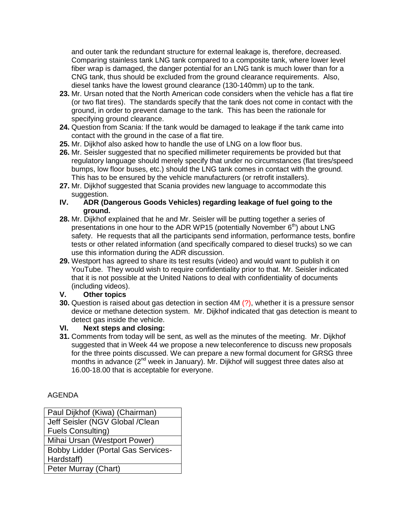and outer tank the redundant structure for external leakage is, therefore, decreased. Comparing stainless tank LNG tank compared to a composite tank, where lower level fiber wrap is damaged, the danger potential for an LNG tank is much lower than for a CNG tank, thus should be excluded from the ground clearance requirements. Also, diesel tanks have the lowest ground clearance (130-140mm) up to the tank.

- **23.** Mr. Ursan noted that the North American code considers when the vehicle has a flat tire (or two flat tires). The standards specify that the tank does not come in contact with the ground, in order to prevent damage to the tank. This has been the rationale for specifying ground clearance.
- **24.** Question from Scania: If the tank would be damaged to leakage if the tank came into contact with the ground in the case of a flat tire.
- **25.** Mr. Dijkhof also asked how to handle the use of LNG on a low floor bus.
- **26.** Mr. Seisler suggested that no specified millimeter requirements be provided but that regulatory language should merely specify that under no circumstances (flat tires/speed bumps, low floor buses, etc.) should the LNG tank comes in contact with the ground. This has to be ensured by the vehicle manufacturers (or retrofit installers).
- **27.** Mr. Dijkhof suggested that Scania provides new language to accommodate this suggestion.
- **IV. ADR (Dangerous Goods Vehicles) regarding leakage of fuel going to the ground.**
- **28.** Mr. Dijkhof explained that he and Mr. Seisler will be putting together a series of presentations in one hour to the ADR WP15 (potentially November  $6<sup>th</sup>$ ) about LNG safety. He requests that all the participants send information, performance tests, bonfire tests or other related information (and specifically compared to diesel trucks) so we can use this information during the ADR discussion.
- **29.** Westport has agreed to share its test results (video) and would want to publish it on YouTube. They would wish to require confidentiality prior to that. Mr. Seisler indicated that it is not possible at the United Nations to deal with confidentiality of documents (including videos).

#### **V. Other topics**

**30.** Question is raised about gas detection in section 4M (?), whether it is a pressure sensor device or methane detection system. Mr. Dijkhof indicated that gas detection is meant to detect gas inside the vehicle.

# **VI. Next steps and closing:**

**31.** Comments from today will be sent, as well as the minutes of the meeting. Mr. Dijkhof suggested that in Week 44 we propose a new teleconference to discuss new proposals for the three points discussed. We can prepare a new formal document for GRSG three months in advance (2<sup>nd</sup> week in January). Mr. Dijkhof will suggest three dates also at 16.00-18.00 that is acceptable for everyone.

#### AGENDA

| Paul Dijkhof (Kiwa) (Chairman)            |
|-------------------------------------------|
| Jeff Seisler (NGV Global / Clean          |
| <b>Fuels Consulting)</b>                  |
| Mihai Ursan (Westport Power)              |
| <b>Bobby Lidder (Portal Gas Services-</b> |
| Hardstaff)                                |
| Peter Murray (Chart)                      |